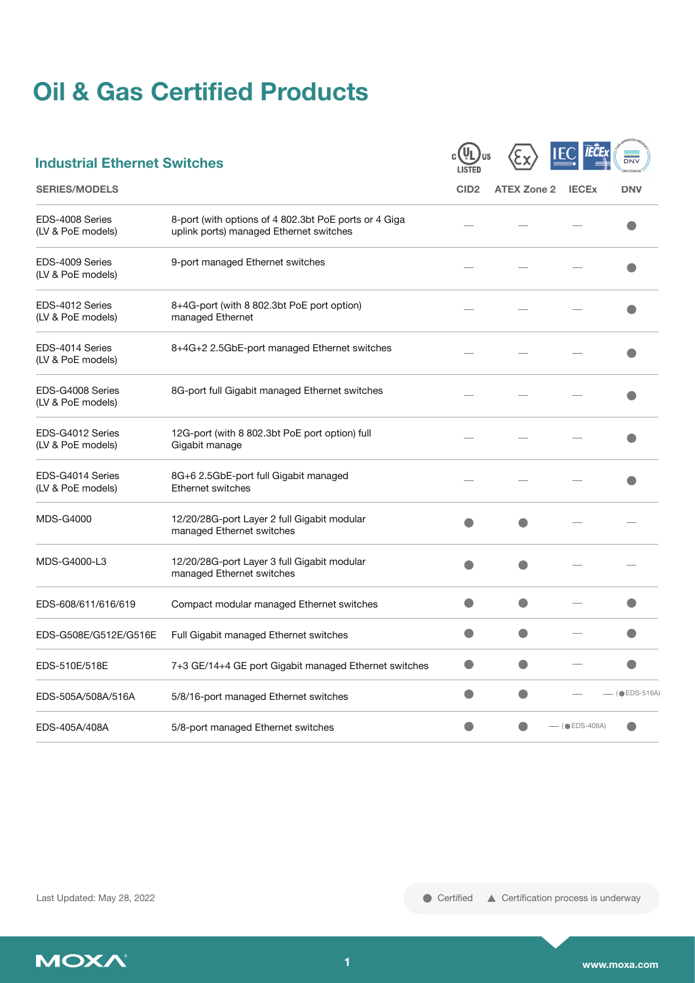# **Oil & Gas Certified Products**

| <b>Industrial Ethernet Switches</b>   |                                                                                                  |                  |                    |                 | DNV            |
|---------------------------------------|--------------------------------------------------------------------------------------------------|------------------|--------------------|-----------------|----------------|
| <b>SERIES/MODELS</b>                  |                                                                                                  | CID <sub>2</sub> | <b>ATEX Zone 2</b> | <b>IECEx</b>    | <b>DNV</b>     |
| EDS-4008 Series<br>(LV & PoE models)  | 8-port (with options of 4 802.3bt PoE ports or 4 Giga<br>uplink ports) managed Ethernet switches |                  |                    |                 |                |
| EDS-4009 Series<br>(LV & PoE models)  | 9-port managed Ethernet switches                                                                 |                  |                    |                 |                |
| EDS-4012 Series<br>(LV & PoE models)  | 8+4G-port (with 8 802.3bt PoE port option)<br>managed Ethernet                                   |                  |                    |                 |                |
| EDS-4014 Series<br>(LV & PoE models)  | 8+4G+2 2.5GbE-port managed Ethernet switches                                                     |                  |                    |                 |                |
| EDS-G4008 Series<br>(LV & PoE models) | 8G-port full Gigabit managed Ethernet switches                                                   |                  |                    |                 |                |
| EDS-G4012 Series<br>(LV & PoE models) | 12G-port (with 8 802.3bt PoE port option) full<br>Gigabit manage                                 |                  |                    |                 |                |
| EDS-G4014 Series<br>(LV & PoE models) | 8G+6 2.5GbE-port full Gigabit managed<br>Ethernet switches                                       |                  |                    |                 |                |
| <b>MDS-G4000</b>                      | 12/20/28G-port Layer 2 full Gigabit modular<br>managed Ethernet switches                         |                  |                    |                 |                |
| MDS-G4000-L3                          | 12/20/28G-port Layer 3 full Gigabit modular<br>managed Ethernet switches                         |                  |                    |                 |                |
| EDS-608/611/616/619                   | Compact modular managed Ethernet switches                                                        |                  | O                  |                 |                |
| EDS-G508E/G512E/G516E                 | Full Gigabit managed Ethernet switches                                                           |                  |                    |                 |                |
| EDS-510E/518E                         | 7+3 GE/14+4 GE port Gigabit managed Ethernet switches                                            | $\bullet$        | O                  |                 |                |
| EDS-505A/508A/516A                    | 5/8/16-port managed Ethernet switches                                                            |                  |                    |                 | $($ $EDS-516A$ |
| EDS-405A/408A                         | 5/8-port managed Ethernet switches                                                               |                  |                    | $-$ (OEDS-408A) |                |

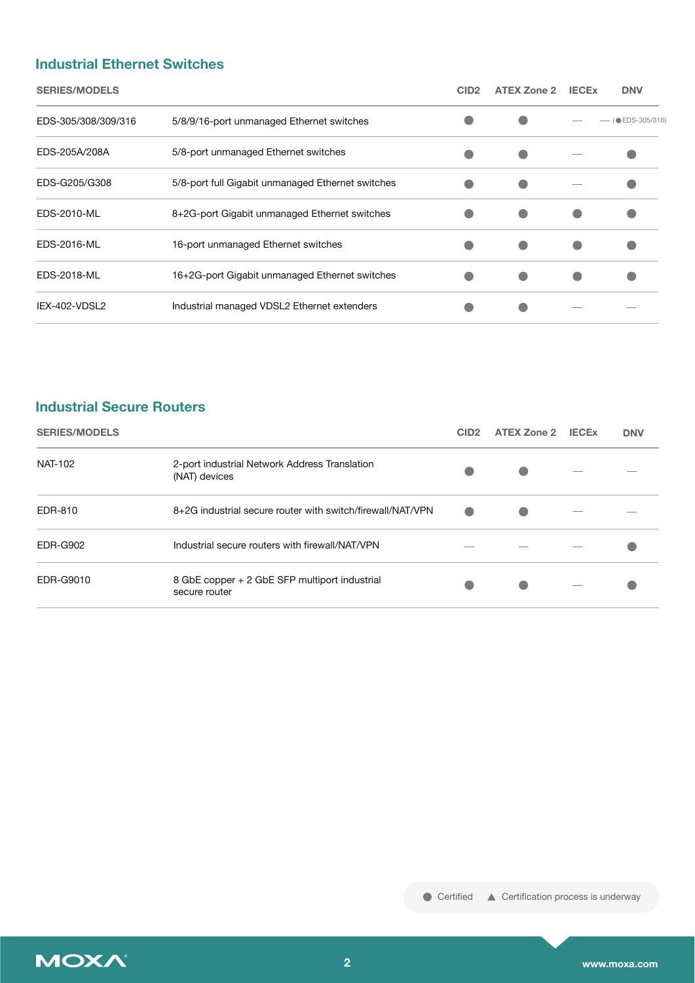#### **Industrial Ethernet Switches**

| <b>SERIES/MODELS</b> |                                                   | CID <sub>2</sub> | <b>ATEX Zone 2</b> | <b>IECEX</b> | <b>DNV</b>                  |
|----------------------|---------------------------------------------------|------------------|--------------------|--------------|-----------------------------|
| EDS-305/308/309/316  | 5/8/9/16-port unmanaged Ethernet switches         |                  |                    |              | $-$ ( $\bullet$ EDS-305/316 |
| EDS-205A/208A        | 5/8-port unmanaged Ethernet switches              |                  |                    |              |                             |
| EDS-G205/G308        | 5/8-port full Gigabit unmanaged Ethernet switches |                  |                    |              |                             |
| EDS-2010-ML          | 8+2G-port Gigabit unmanaged Ethernet switches     |                  |                    |              |                             |
| EDS-2016-ML          | 16-port unmanaged Ethernet switches               |                  |                    |              |                             |
| EDS-2018-ML          | 16+2G-port Gigabit unmanaged Ethernet switches    |                  |                    |              |                             |
| IEX-402-VDSL2        | Industrial managed VDSL2 Ethernet extenders       |                  |                    |              |                             |

## **Industrial Secure Routers**

| <b>SERIES/MODELS</b> |                                                                | CID <sub>2</sub> | <b>ATEX Zone 2</b> | <b>IECE<sub>x</sub></b>  | <b>DNV</b> |
|----------------------|----------------------------------------------------------------|------------------|--------------------|--------------------------|------------|
| <b>NAT-102</b>       | 2-port industrial Network Address Translation<br>(NAT) devices |                  | O                  |                          |            |
| EDR-810              | 8+2G industrial secure router with switch/firewall/NAT/VPN     |                  | C                  |                          |            |
| <b>EDR-G902</b>      | Industrial secure routers with firewall/NAT/VPN                |                  |                    |                          |            |
| EDR-G9010            | 8 GbE copper + 2 GbE SFP multiport industrial<br>secure router |                  |                    | $\overline{\phantom{a}}$ |            |

● Certified ▲ Certification process is underway

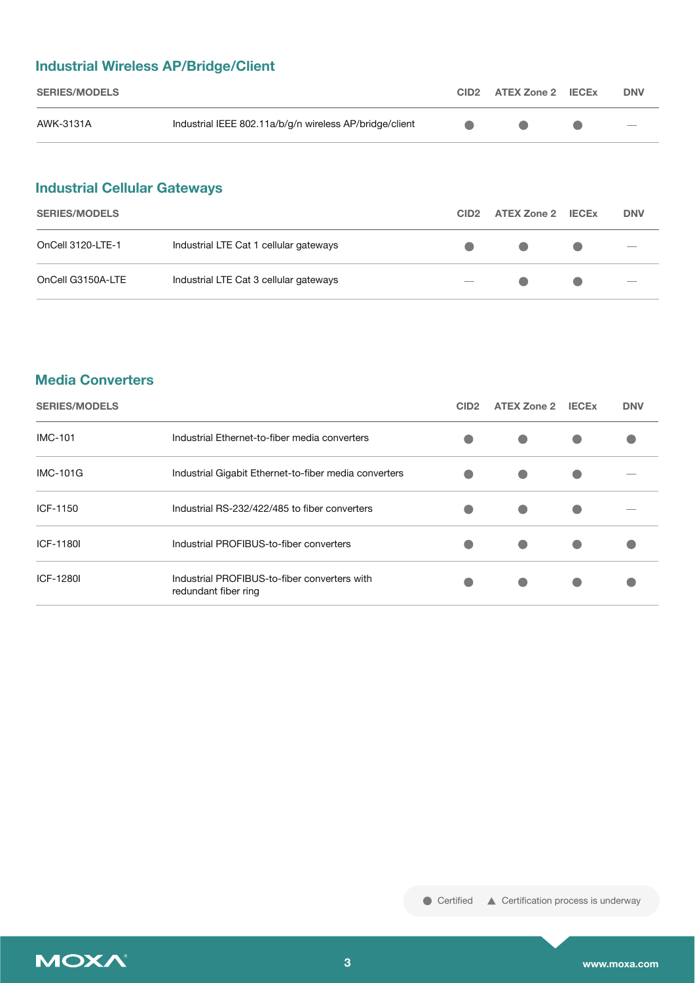## **Industrial Wireless AP/Bridge/Client**

| <b>SERIES/MODELS</b> |                                                         | CID2 ATEX Zone 2 IECEX | <b>DNV</b>                      |
|----------------------|---------------------------------------------------------|------------------------|---------------------------------|
| AWK-3131A            | Industrial IEEE 802.11a/b/g/n wireless AP/bridge/client |                        | $\hspace{0.1mm}-\hspace{0.1mm}$ |

## **Industrial Cellular Gateways**

| <b>SERIES/MODELS</b> |                                        | CID <sub>2</sub>         | ATEX Zone 2 IECEx |                                 | <b>DNV</b>                      |
|----------------------|----------------------------------------|--------------------------|-------------------|---------------------------------|---------------------------------|
| OnCell 3120-LTE-1    | Industrial LTE Cat 1 cellular gateways | $\bullet$                | $\bullet$         | <u>and the state of the sta</u> | $\hspace{0.1mm}-\hspace{0.1mm}$ |
| OnCell G3150A-LTE    | Industrial LTE Cat 3 cellular gateways | $\overline{\phantom{a}}$ | $\Box$            | $\bullet$                       | $\hspace{0.1mm}-\hspace{0.1mm}$ |

### **Media Converters**

| <b>SERIES/MODELS</b> |                                                                      | CID <sub>2</sub> | <b>ATEX Zone 2</b> | <b>IECEX</b> | <b>DNV</b> |
|----------------------|----------------------------------------------------------------------|------------------|--------------------|--------------|------------|
| <b>IMC-101</b>       | Industrial Ethernet-to-fiber media converters                        |                  | $\bullet$          |              |            |
| <b>IMC-101G</b>      | Industrial Gigabit Ethernet-to-fiber media converters                |                  | O                  |              |            |
| ICF-1150             | Industrial RS-232/422/485 to fiber converters                        |                  | O                  |              |            |
| ICF-1180I            | Industrial PROFIBUS-to-fiber converters                              |                  | $\bullet$          |              |            |
| ICF-1280I            | Industrial PROFIBUS-to-fiber converters with<br>redundant fiber ring |                  | $\bullet$          |              |            |

● Certified ▲ Certification process is underway

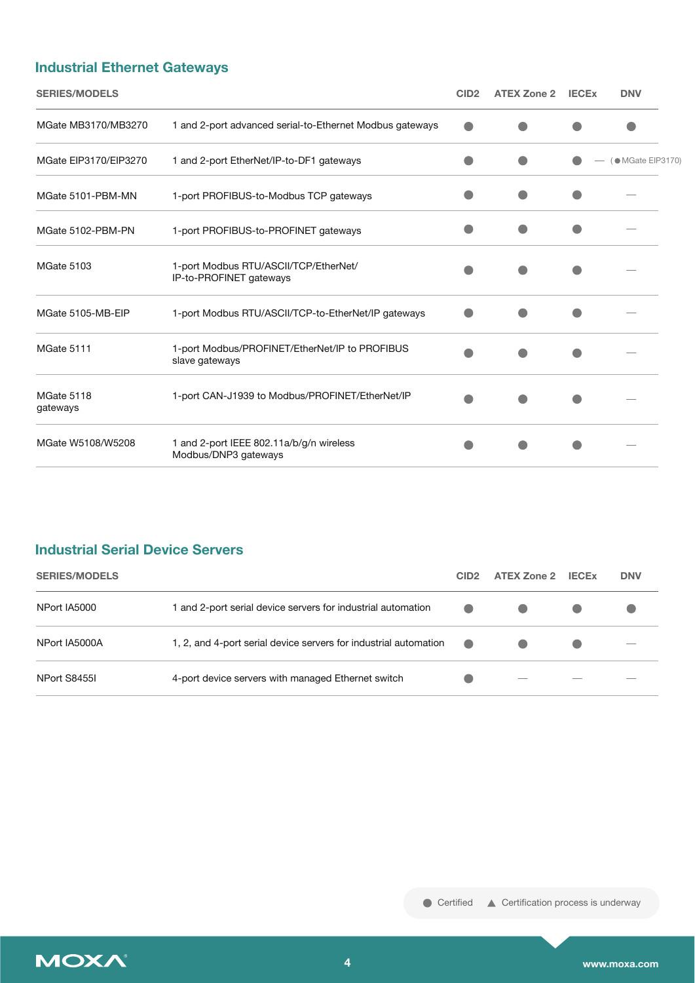## **Industrial Ethernet Gateways**

| <b>SERIES/MODELS</b>   |                                                                  | CID <sub>2</sub> | <b>ATEX Zone 2</b> | <b>IECEX</b> | <b>DNV</b>        |
|------------------------|------------------------------------------------------------------|------------------|--------------------|--------------|-------------------|
| MGate MB3170/MB3270    | 1 and 2-port advanced serial-to-Ethernet Modbus gateways         |                  |                    |              |                   |
| MGate EIP3170/EIP3270  | 1 and 2-port EtherNet/IP-to-DF1 gateways                         |                  |                    |              | (● MGate EIP3170) |
| MGate 5101-PBM-MN      | 1-port PROFIBUS-to-Modbus TCP gateways                           |                  |                    |              |                   |
| MGate 5102-PBM-PN      | 1-port PROFIBUS-to-PROFINET gateways                             |                  |                    |              |                   |
| MGate 5103             | 1-port Modbus RTU/ASCII/TCP/EtherNet/<br>IP-to-PROFINET gateways |                  |                    |              |                   |
| MGate 5105-MB-EIP      | 1-port Modbus RTU/ASCII/TCP-to-EtherNet/IP gateways              |                  |                    |              |                   |
| MGate 5111             | 1-port Modbus/PROFINET/EtherNet/IP to PROFIBUS<br>slave gateways |                  |                    |              |                   |
| MGate 5118<br>gateways | 1-port CAN-J1939 to Modbus/PROFINET/EtherNet/IP                  |                  |                    |              |                   |
| MGate W5108/W5208      | 1 and 2-port IEEE 802.11a/b/g/n wireless<br>Modbus/DNP3 gateways |                  |                    |              |                   |

## **Industrial Serial Device Servers**

| <b>SERIES/MODELS</b> |                                                                  | CID <sub>2</sub> | <b>ATEX Zone 2</b>       | <b>IECE<sub>x</sub></b> | <b>DNV</b> |
|----------------------|------------------------------------------------------------------|------------------|--------------------------|-------------------------|------------|
| NPort IA5000         | 1 and 2-port serial device servers for industrial automation     |                  |                          |                         |            |
| NPort IA5000A        | 1, 2, and 4-port serial device servers for industrial automation | $\bullet$        |                          |                         |            |
| NPort S8455I         | 4-port device servers with managed Ethernet switch               |                  | $\overline{\phantom{a}}$ |                         |            |

● Certified ▲ Certification process is underway